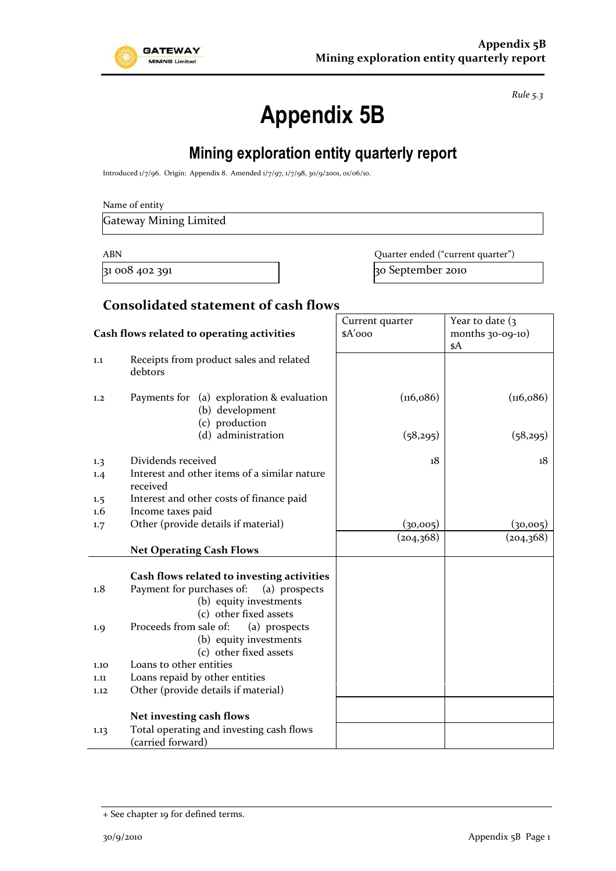

*Rule 5.3*

# **Appendix 5B**

## **Mining exploration entity quarterly report**

Introduced 1/7/96. Origin: Appendix 8. Amended 1/7/97, 1/7/98, 30/9/2001, 01/06/10.

Gateway Mining Limited

ABN Quarter ended ("current quarter")  $31\,008\,402\,391$  30 September 2010

#### **Consolidated statement of cash flows**

|                                                                                                                                                                                                                                                                                                                                                                                       |                                                                                | Current quarter | Year to date $(3)$  |
|---------------------------------------------------------------------------------------------------------------------------------------------------------------------------------------------------------------------------------------------------------------------------------------------------------------------------------------------------------------------------------------|--------------------------------------------------------------------------------|-----------------|---------------------|
| Cash flows related to operating activities                                                                                                                                                                                                                                                                                                                                            |                                                                                | \$A'ooo         | months $30-09-10$ ) |
|                                                                                                                                                                                                                                                                                                                                                                                       |                                                                                |                 | \$A                 |
| 1.1                                                                                                                                                                                                                                                                                                                                                                                   | Receipts from product sales and related<br>debtors                             |                 |                     |
| 1,2                                                                                                                                                                                                                                                                                                                                                                                   | Payments for (a) exploration & evaluation<br>(b) development<br>(c) production | (116,086)       | (116, 086)          |
|                                                                                                                                                                                                                                                                                                                                                                                       | (d) administration                                                             | (58,295)        | (58,295)            |
| 1.3                                                                                                                                                                                                                                                                                                                                                                                   | Dividends received                                                             | 18              | 18                  |
| 1.4                                                                                                                                                                                                                                                                                                                                                                                   | Interest and other items of a similar nature<br>received                       |                 |                     |
| 1.5                                                                                                                                                                                                                                                                                                                                                                                   | Interest and other costs of finance paid                                       |                 |                     |
| $1.6\,$                                                                                                                                                                                                                                                                                                                                                                               | Income taxes paid                                                              |                 |                     |
| 1.7                                                                                                                                                                                                                                                                                                                                                                                   | Other (provide details if material)                                            | (30,005)        | (30,005)            |
|                                                                                                                                                                                                                                                                                                                                                                                       |                                                                                | (204,368)       | (204, 368)          |
|                                                                                                                                                                                                                                                                                                                                                                                       | <b>Net Operating Cash Flows</b>                                                |                 |                     |
| Cash flows related to investing activities<br>Payment for purchases of:<br>(a) prospects<br>1.8<br>(b) equity investments<br>(c) other fixed assets<br>Proceeds from sale of:<br>(a) prospects<br>1.9<br>(b) equity investments<br>(c) other fixed assets<br>Loans to other entities<br>1.10<br>Loans repaid by other entities<br>1.11<br>Other (provide details if material)<br>1.12 |                                                                                |                 |                     |
|                                                                                                                                                                                                                                                                                                                                                                                       | Net investing cash flows                                                       |                 |                     |
| 1.13                                                                                                                                                                                                                                                                                                                                                                                  | Total operating and investing cash flows<br>(carried forward)                  |                 |                     |

<sup>+</sup> See chapter 19 for defined terms.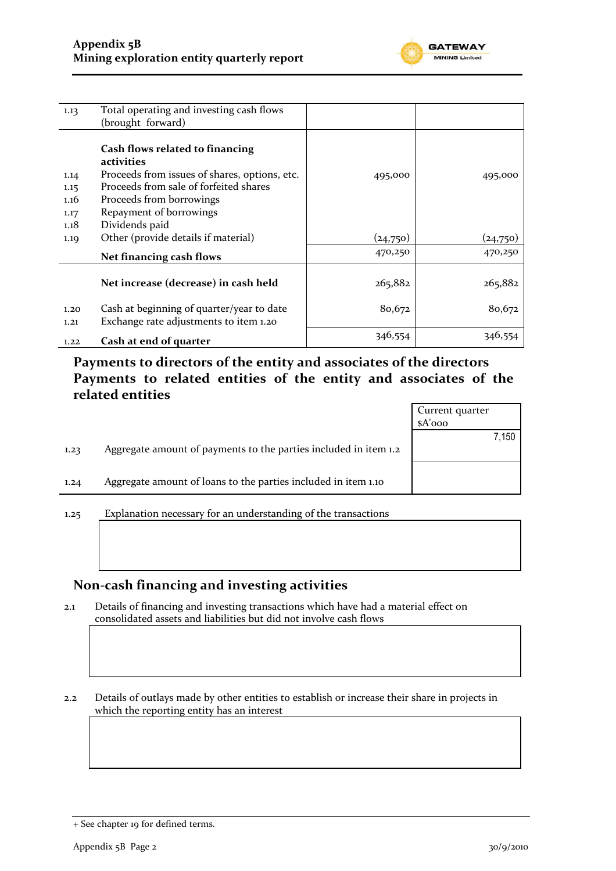

| 1.13         | Total operating and investing cash flows                                                       |          |          |
|--------------|------------------------------------------------------------------------------------------------|----------|----------|
|              | (brought forward)                                                                              |          |          |
| 1.14         | Cash flows related to financing<br>activities<br>Proceeds from issues of shares, options, etc. | 495,000  | 495,000  |
| 1.15         | Proceeds from sale of forfeited shares                                                         |          |          |
| 1.16         | Proceeds from borrowings                                                                       |          |          |
| 1.17         | Repayment of borrowings                                                                        |          |          |
| 1.18         | Dividends paid                                                                                 |          |          |
| 1.19         | Other (provide details if material)                                                            | (24,750) | (24,750) |
|              | Net financing cash flows                                                                       | 470,250  | 470,250  |
|              |                                                                                                |          |          |
|              | Net increase (decrease) in cash held                                                           | 265,882  | 265,882  |
| 1.20<br>1,21 | Cash at beginning of quarter/year to date<br>Exchange rate adjustments to item 1.20            | 80,672   | 80,672   |
| 1.22         | Cash at end of quarter                                                                         | 346,554  | 346,554  |

### **Payments to directors of the entity and associates of the directors Payments to related entities of the entity and associates of the related entities**

|      |                                                                  | Current quarter |
|------|------------------------------------------------------------------|-----------------|
|      |                                                                  | $A'$ 000        |
|      |                                                                  | 7,150           |
| 1.23 | Aggregate amount of payments to the parties included in item 1.2 |                 |
| 1.24 | Aggregate amount of loans to the parties included in item 1.10   |                 |
|      |                                                                  |                 |
|      |                                                                  |                 |
| 1.25 | Explanation necessary for an understanding of the transactions   |                 |

### **Non-cash financing and investing activities**

2.1 Details of financing and investing transactions which have had a material effect on consolidated assets and liabilities but did not involve cash flows

2.2 Details of outlays made by other entities to establish or increase their share in projects in which the reporting entity has an interest

<sup>+</sup> See chapter 19 for defined terms.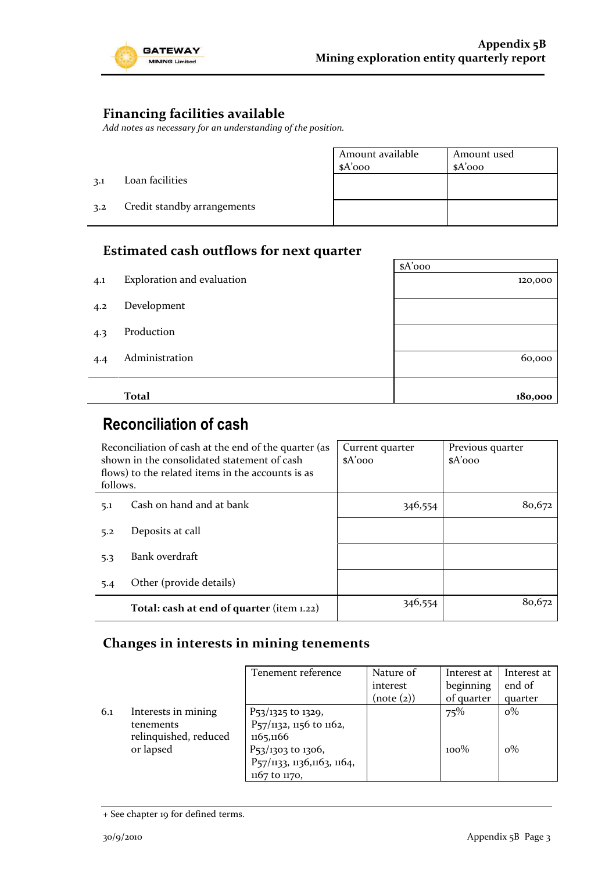

### **Financing facilities available**

*Add notes as necessary for an understanding of the position.*

|     |                             | Amount available<br>$A'$ 000 | Amount used<br>$A'$ 000 |
|-----|-----------------------------|------------------------------|-------------------------|
| 3.1 | Loan facilities             |                              |                         |
| 3.2 | Credit standby arrangements |                              |                         |

### **Estimated cash outflows for next quarter**

|     |                            | $A'$ 000 |
|-----|----------------------------|----------|
| 4.1 | Exploration and evaluation | 120,000  |
| 4.2 | Development                |          |
| 4.3 | Production                 |          |
| 4.4 | Administration             | 60,000   |
|     |                            |          |
|     | <b>Total</b>               | 180,000  |

### **Reconciliation of cash**

| Reconciliation of cash at the end of the quarter (as<br>shown in the consolidated statement of cash<br>flows) to the related items in the accounts is as<br>follows. |                                           | Current quarter<br>$A'$ 000 | Previous quarter<br>$A'$ 000 |
|----------------------------------------------------------------------------------------------------------------------------------------------------------------------|-------------------------------------------|-----------------------------|------------------------------|
| 5.1                                                                                                                                                                  | Cash on hand and at bank                  | 346,554                     | 80,672                       |
| 5.2                                                                                                                                                                  | Deposits at call                          |                             |                              |
| 5.3                                                                                                                                                                  | Bank overdraft                            |                             |                              |
| 5.4                                                                                                                                                                  | Other (provide details)                   |                             |                              |
|                                                                                                                                                                      | Total: cash at end of quarter (item 1.22) | 346,554                     | 80,672                       |

### **Changes in interests in mining tenements**

|     |                                                                        | Tenement reference                                                                                            | Nature of<br>interest<br>(note (2)) | Interest at<br>beginning<br>of quarter | Interest at<br>end of<br>quarter |
|-----|------------------------------------------------------------------------|---------------------------------------------------------------------------------------------------------------|-------------------------------------|----------------------------------------|----------------------------------|
| 6.1 | Interests in mining<br>tenements<br>relinquished, reduced<br>or lapsed | $P_{53}/1325$ to 1329,<br>P <sub>57</sub> /1132, 1156 to 1162,<br>1165,1166<br>P <sub>53</sub> /1303 to 1306, |                                     | 75%<br>$100\%$                         | $o\%$<br>$0\%$                   |
|     |                                                                        | P57/1133, 1136,1163, 1164,<br>1167 to 1170,                                                                   |                                     |                                        |                                  |

<sup>+</sup> See chapter 19 for defined terms.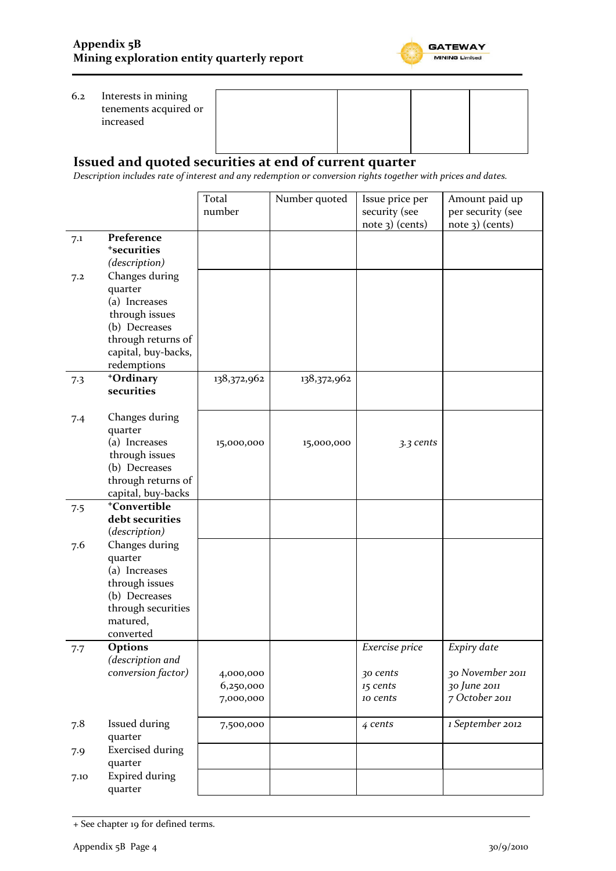

#### 6.2 Interests in mining tenements acquired or increased



#### **Issued and quoted securities at end of current quarter**

*Description includes rate of interest and any redemption or conversion rights together with prices and dates.*

|      |                          | Total<br>number | Number quoted | Issue price per<br>security (see | Amount paid up<br>per security (see |
|------|--------------------------|-----------------|---------------|----------------------------------|-------------------------------------|
|      |                          |                 |               | $note$ 3) (cents)                | $note$ 3) (cents)                   |
| 7.1  | Preference               |                 |               |                                  |                                     |
|      | <sup>+</sup> securities  |                 |               |                                  |                                     |
|      | (description)            |                 |               |                                  |                                     |
| 7.2  | Changes during           |                 |               |                                  |                                     |
|      | quarter                  |                 |               |                                  |                                     |
|      | (a) Increases            |                 |               |                                  |                                     |
|      | through issues           |                 |               |                                  |                                     |
|      | (b) Decreases            |                 |               |                                  |                                     |
|      | through returns of       |                 |               |                                  |                                     |
|      | capital, buy-backs,      |                 |               |                                  |                                     |
|      | redemptions              |                 |               |                                  |                                     |
| 7.3  | +Ordinary                | 138,372,962     | 138,372,962   |                                  |                                     |
|      | securities               |                 |               |                                  |                                     |
|      |                          |                 |               |                                  |                                     |
| 7.4  | Changes during           |                 |               |                                  |                                     |
|      | quarter                  |                 |               |                                  |                                     |
|      | (a) Increases            | 15,000,000      | 15,000,000    | 3.3 cents                        |                                     |
|      | through issues           |                 |               |                                  |                                     |
|      | (b) Decreases            |                 |               |                                  |                                     |
|      | through returns of       |                 |               |                                  |                                     |
|      | capital, buy-backs       |                 |               |                                  |                                     |
| 7.5  | <sup>+</sup> Convertible |                 |               |                                  |                                     |
|      | debt securities          |                 |               |                                  |                                     |
|      | (description)            |                 |               |                                  |                                     |
| 7.6  | Changes during           |                 |               |                                  |                                     |
|      | quarter                  |                 |               |                                  |                                     |
|      | (a) Increases            |                 |               |                                  |                                     |
|      | through issues           |                 |               |                                  |                                     |
|      | (b) Decreases            |                 |               |                                  |                                     |
|      | through securities       |                 |               |                                  |                                     |
|      | matured,                 |                 |               |                                  |                                     |
|      | converted                |                 |               |                                  |                                     |
|      | <b>Options</b>           |                 |               | Exercise price                   | Expiry date                         |
| 7.7  | (description and         |                 |               |                                  |                                     |
|      | conversion factor)       |                 |               |                                  | 30 November 2011                    |
|      |                          | 4,000,000       |               | 30 cents                         |                                     |
|      |                          | 6,250,000       |               | 15 cents                         | 30 June 2011                        |
|      |                          | 7,000,000       |               | 10 cents                         | 7 October 2011                      |
| 7.8  | Issued during            | 7,500,000       |               | 4 cents                          | 1 September 2012                    |
|      | quarter                  |                 |               |                                  |                                     |
| 7.9  | <b>Exercised during</b>  |                 |               |                                  |                                     |
|      | quarter                  |                 |               |                                  |                                     |
| 7.10 | <b>Expired during</b>    |                 |               |                                  |                                     |
|      | quarter                  |                 |               |                                  |                                     |

<sup>+</sup> See chapter 19 for defined terms.